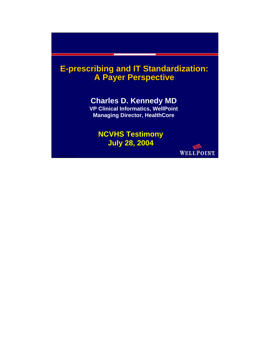# **E-prescribing and IT Standardization: prescribing and IT Standardization: A Payer Perspective A Payer Perspective**

## **Charles D. Kennedy MD**

**VP Clinical Informatics, WellPoint Managing Director, HealthCore**

## **NCVHS Testimony July 28, 2004 July 28, 2004**

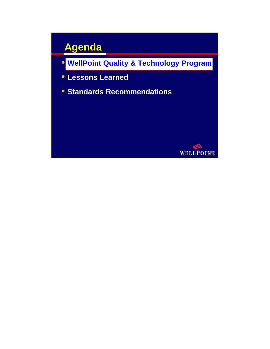# **Agenda**

- **WellPoint Quality & Technology Program**
- **Lessons Learned**
- **Standards Recommendations**

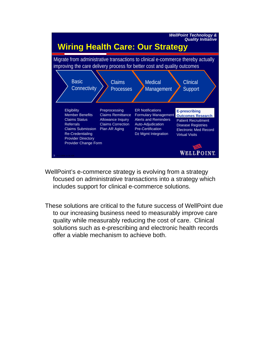

- WellPoint's e-commerce strategy is evolving from a strategy focused on administrative transactions into a strategy which includes support for clinical e-commerce solutions.
- These solutions are critical to the future success of WellPoint due to our increasing business need to measurably improve care quality while measurably reducing the cost of care. Clinical solutions such as e-prescribing and electronic health records offer a viable mechanism to achieve both.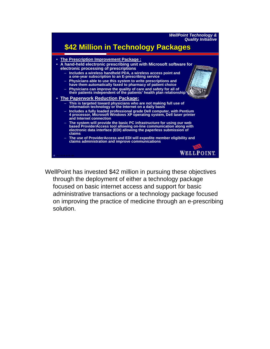

WellPoint has invested \$42 million in pursuing these objectives through the deployment of either a technology package focused on basic internet access and support for basic administrative transactions or a technology package focused on improving the practice of medicine through an e-prescribing solution.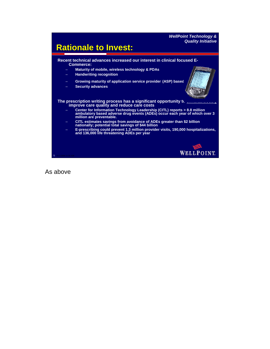#### *WellPoint Technology & Quality Initiative*



As above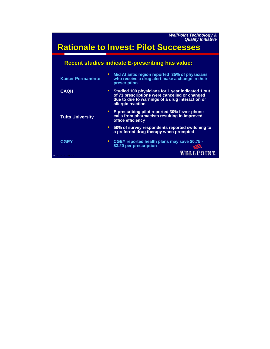*WellPoint Technology & Quality Initiative*

# **Rationale to Invest: Pilot Successes Rationale to Invest: Pilot Successes**

| <b>Kaiser Permanente</b> | Mid Atlantic region reported 35% of physicians<br>who receive a drug alert make a change in their<br>prescription                                                            |  |  |  |
|--------------------------|------------------------------------------------------------------------------------------------------------------------------------------------------------------------------|--|--|--|
| <b>CAQH</b>              | • Studied 100 physicians for 1 year indicated 1 out<br>of 73 prescriptions were cancelled or changed<br>due to due to warnings of a drug interaction or<br>allergic reaction |  |  |  |
| <b>Tufts University</b>  | E-prescribing pilot reported 30% fewer phone<br>calls from pharmacists resulting in improved<br>office efficiency                                                            |  |  |  |
|                          | • 50% of survey respondents reported switching to<br>a preferred drug therapy when prompted                                                                                  |  |  |  |
| <b>CGEY</b>              | CGEY reported health plans may save \$0.75 -<br>\$3.20 per prescription                                                                                                      |  |  |  |
| 6 8/11/2004 11:56 AM     | WELLPOINT                                                                                                                                                                    |  |  |  |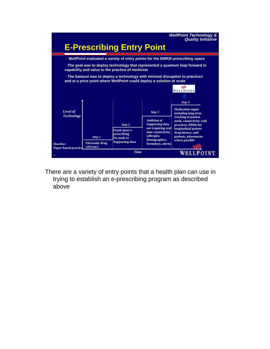

There are a variety of entry points that a health plan can use in trying to establish an e-prescribing program as described above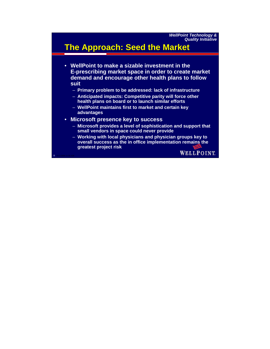# **The Approach: Seed the Market The Approach: Seed the Market**

- **WellPoint to make a sizable investment in the E-prescribing market space in order to create market demand and encourage other health plans to follow suit**
	- **Primary problem to be addressed: lack of infrastructure**
	- **Anticipated impacts: Competitive parity will force other health plans on board or to launch similar efforts**
	- **WellPoint maintains first to market and certain key advantages**
- **Microsoft presence key to success**
	- **Microsoft provides a level of sophistication and support that small vendors in space could never provide**
	- **Working with local physicians and physician groups key to overall success as the in office implementation remains the greatest project risk**

8 8/11/2004 11:56 AM

WELLPOINT.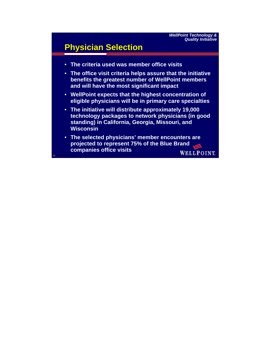# **Physician Selection**

- **The criteria used was member office visits**
- **The office visit criteria helps assure that the initiative benefits the greatest number of WellPoint members and will have the most significant impact**
- **WellPoint expects that the highest concentration of eligible physicians will be in primary care specialties**
- **The initiative will distribute approximately 19,000 technology packages to network physicians (in good standing) in California, Georgia, Missouri, and Wisconsin**
- **The selected physicians' member encounters are projected to represent 75% of the Blue Brand companies office visits WELLPOINT**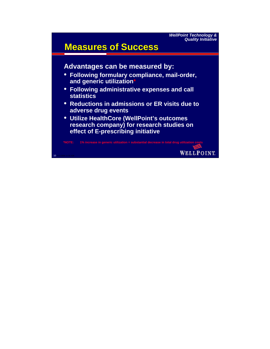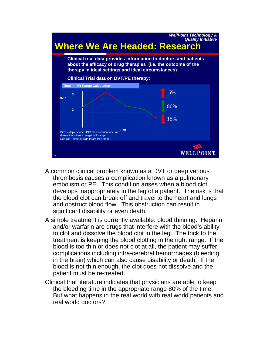

- A common clinical problem known as a DVT or deep venous thrombosis causes a complication known as a pulmonary embolism or PE. This condition arises when a blood clot develops inappropriately in the leg of a patient. The risk is that the blood clot can break off and travel to the heart and lungs and obstruct blood flow. This obstruction can result in significant disability or even death.
- A simple treatment is currently available: blood thinning. Heparin and/or warfarin are drugs that interfere with the blood's ability to clot and dissolve the blood clot in the leg. The trick to the treatment is keeping the blood clotting in the right range. If the blood is too thin or does not clot at all, the patient may suffer complications including intra-cerebral hemorrhages (bleeding in the brain) which can also cause disability or death. If the blood is not thin enough, the clot does not dissolve and the patient must be re-treated.
- Clinical trial literature indicates that physicians are able to keep the bleeding time in the appropriate range 80% of the time. But what happens in the real world with real world patients and real world doctors?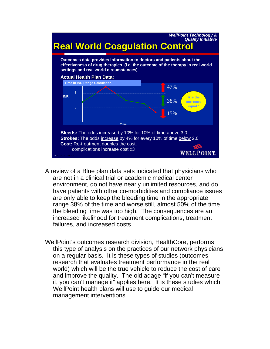

- A review of a Blue plan data sets indicated that physicians who are not in a clinical trial or academic medical center environment, do not have nearly unlimited resources, and do have patients with other co-morbidities and compliance issues are only able to keep the bleeding time in the appropriate range 38% of the time and worse still, almost 50% of the time the bleeding time was too high. The consequences are an increased likelihood for treatment complications, treatment failures, and increased costs.
- WellPoint's outcomes research division, HealthCore, performs this type of analysis on the practices of our network physicians on a regular basis. It is these types of studies (outcomes research that evaluates treatment performance in the real world) which will be the true vehicle to reduce the cost of care and improve the quality. The old adage "if you can't measure it, you can't manage it" applies here. It is these studies which WellPoint health plans will use to guide our medical management interventions.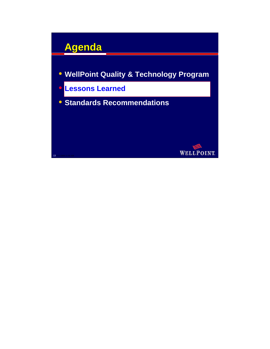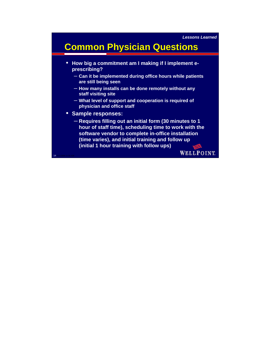# **Common Physician Questions**

- **How big a commitment am I making if I implement eprescribing?** 
	- **Can it be implemented during office hours while patients are still being seen**
	- **How many installs can be done remotely without any staff visiting site**
	- **What level of support and cooperation is required of physician and office staff**
- **Sample responses:**
	- **Requires filling out an initial form (30 minutes to 1 hour of staff time), scheduling time to work with the software vendor to complete in-office installation (time varies), and initial training and follow up (initial 1 hour training with follow ups)**

14 8/11/2004 11:56 AM

**WELLPOINT**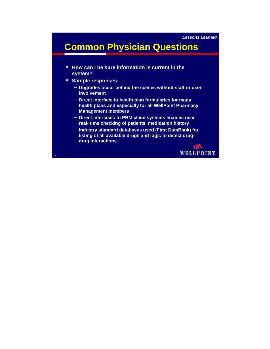# **Common Physician Questions**

- **How can I be sure information is current in the system?**
- **Sample responses:**
	- **Upgrades occur behind the scenes without staff or user involvement**
	- **Direct interface to health plan formularies for many health plans and especially for all WellPoint Pharmacy Management members**
	- **Direct interfaces to PBM claim systems enables near real- time checking of patients' medication history**
	- **Industry standard databases used (First DataBank) for listing of all available drugs and logic to detect drugdrug interactions**

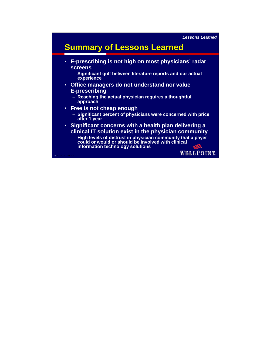# **Summary of Lessons Learned**

- **E-prescribing is not high on most physicians' radar screens**
	- **Significant gulf between literature reports and our actual experience**
- **Office managers do not understand nor value E-prescribing**
	- **Reaching the actual physician requires a thoughtful approach**
- **Free is not cheap enough**
	- **Significant percent of physicians were concerned with price after 1 year**
- **Significant concerns with a health plan delivering a clinical IT solution exist in the physician community**
	- **High levels of distrust in physician community that a payer could or would or should be involved with clinical information technology solutions**

16 8/11/2004 11:56 AM

**WELLPOINT**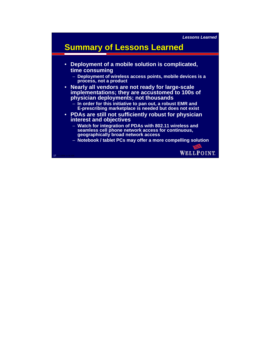*Lessons Learned*

# **Summary of Lessons Learned**

- **Deployment of a mobile solution is complicated, time consuming**
	- **Deployment of wireless access points, mobile devices is a process, not a product**
- **Nearly all vendors are not ready for large-scale implementations; they are accustomed to 100s of physician deployments; not thousands**
	- **In order for this initiative to pan out, a robust EMR and E-prescribing marketplace is needed but does not exist**
- **PDAs are still not sufficiently robust for physician interest and objectives**
	- **Watch for integration of PDAs with 802.11 wireless and seamless cell phone network access for continuous, geographically broad network access**
	- **Notebook / tablet PCs may offer a more compelling solution**

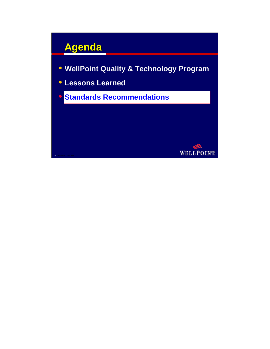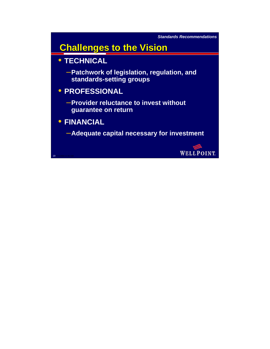*Standards Recommendations*

# **Challenges to the Vision Challenges to the Vision**

- **TECHNICAL**
	- –**Patchwork of legislation, regulation, and standards-setting groups**

## • **PROFESSIONAL**

- –**Provider reluctance to invest without guarantee on return**
- **FINANCIAL**

19 8/11/2004 11:56 AM

–**Adequate capital necessary for investment**

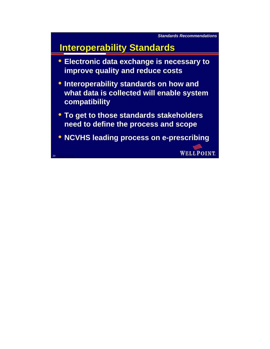# **Interoperability Standards**

- **Electronic data exchange is necessary to improve quality and reduce costs**
- **Interoperability standards on how and what data is collected will enable system compatibility**
- **To get to those standards stakeholders need to define the process and scope**
- **NCVHS leading process on e-prescribing**

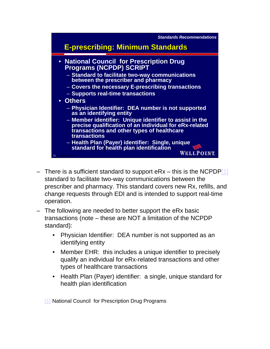

- There is a sufficient standard to support  $eRx this$  is the NCPDP[1] standard to facilitate two-way communications between the prescriber and pharmacy. This standard covers new Rx, refills, and change requests through EDI and is intended to support real-time operation.
- The following are needed to better support the eRx basic transactions (note – these are NOT a limitation of the NCPDP standard):
	- Physician Identifier: DEA number is not supported as an identifying entity
	- Member EHR: this includes a unique identifier to precisely qualify an individual for eRx-related transactions and other types of healthcare transactions
	- Health Plan (Payer) identifier: a single, unique standard for health plan identification

[1] National Council for Prescription Drug Programs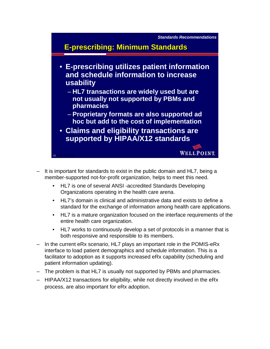

- It is important for standards to exist in the public domain and HL7, being a member-supported not-for-profit organization, helps to meet this need.
	- HL7 is one of several ANSI -accredited Standards Developing Organizations operating in the health care arena.
	- HL7's domain is clinical and administrative data and exists to define a standard for the exchange of information among health care applications.
	- HL7 is a mature organization focused on the interface requirements of the entire health care organization.
	- HL7 works to continuously develop a set of protocols in a manner that is both responsive and responsible to its members.
- In the current eRx scenario, HL7 plays an important role in the POMIS-eRx interface to load patient demographics and schedule information. This is a facilitator to adoption as it supports increased eRx capability (scheduling and patient information updating).
- The problem is that HL7 is usually not supported by PBMs and pharmacies.
- HIPAA/X12 transactions for eligibility, while not directly involved in the eRx process, are also important for eRx adoption.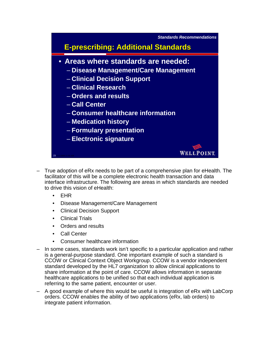

- True adoption of eRx needs to be part of a comprehensive plan for eHealth. The facilitator of this will be a complete electronic health transaction and data interface infrastructure. The following are areas in which standards are needed to drive this vision of eHealth:
	- EHR
	- Disease Management/Care Management
	- Clinical Decision Support
	- **Clinical Trials**
	- Orders and results
	- Call Center
	- Consumer healthcare information
- In some cases, standards work isn't specific to a particular application and rather is a general-purpose standard. One important example of such a standard is CCOW or Clinical Context Object Workgroup. CCOW is a vendor independent standard developed by the HL7 organization to allow clinical applications to share information at the point of care. CCOW allows information in separate healthcare applications to be unified so that each individual application is referring to the same patient, encounter or user.
- A good example of where this would be useful is integration of eRx with LabCorp orders. CCOW enables the ability of two applications (eRx, lab orders) to integrate patient information.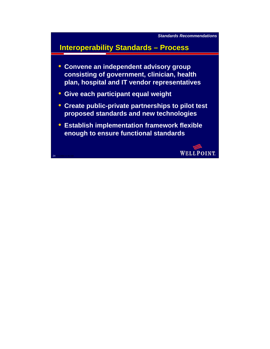## **Interoperability Standards – Process**

- **Convene an independent advisory group consisting of government, clinician, health plan, hospital and IT vendor representatives**
- **Give each participant equal weight**

- **Create public-private partnerships to pilot test proposed standards and new technologies**
- **Establish implementation framework flexible enough to ensure functional standards**

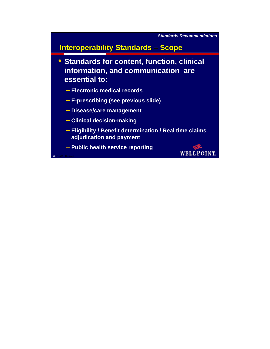

## **Interoperability Standards – Scope**

• **Standards for content, function, clinical information, and communication are essential to:**

- **Electronic medical records**
- **E-prescribing (see previous slide)**
- **Disease/care management**
- **Clinical decision-making**

- **Eligibility / Benefit determination / Real time claims adjudication and payment**
- **Public health service reporting**

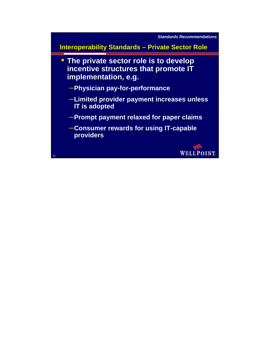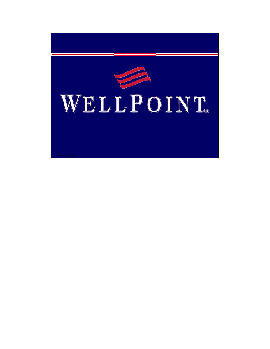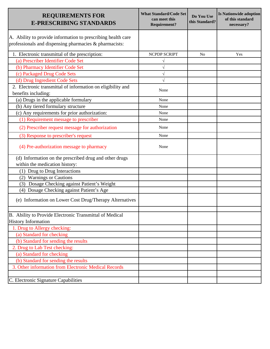| <b>REQUIREMENTS FOR</b><br><b>E-PRESCRIBING STANDARDS</b>                                                              | <b>What Standard/Code Set</b><br>can meet this<br><b>Requirement?</b> | Do You Use<br>this Standard? | <b>Is Nationwide adoption</b><br>of this standard<br>necessary? |
|------------------------------------------------------------------------------------------------------------------------|-----------------------------------------------------------------------|------------------------------|-----------------------------------------------------------------|
| A. Ability to provide information to prescribing health care<br>professionals and dispensing pharmacies & pharmacists: |                                                                       |                              |                                                                 |
| 1. Electronic transmittal of the prescription:                                                                         | <b>NCPDP SCRIPT</b>                                                   | N <sub>0</sub>               | Yes                                                             |
| (a) Prescriber Identifier Code Set                                                                                     |                                                                       |                              |                                                                 |
| (b) Pharmacy Identifier Code Set                                                                                       |                                                                       |                              |                                                                 |
| (c) Packaged Drug Code Sets                                                                                            |                                                                       |                              |                                                                 |
| (d) Drug Ingredient Code Sets                                                                                          |                                                                       |                              |                                                                 |
| 2. Electronic transmittal of information on eligibility and<br>benefits including:                                     | None                                                                  |                              |                                                                 |
| (a) Drugs in the applicable formulary                                                                                  | None                                                                  |                              |                                                                 |
| (b) Any tiered formulary structure                                                                                     | None                                                                  |                              |                                                                 |
| (c) Any requirements for prior authorization:                                                                          | None                                                                  |                              |                                                                 |
| (1) Requirement message to prescriber                                                                                  | None                                                                  |                              |                                                                 |
| (2) Prescriber request message for authorization                                                                       | None                                                                  |                              |                                                                 |
| (3) Response to prescriber's request                                                                                   | None                                                                  |                              |                                                                 |
| (4) Pre-authorization message to pharmacy                                                                              | None                                                                  |                              |                                                                 |
| (d) Information on the prescribed drug and other drugs                                                                 |                                                                       |                              |                                                                 |
| within the medication history:                                                                                         |                                                                       |                              |                                                                 |
| (1) Drug to Drug Interactions<br>(2) Warnings or Cautions                                                              |                                                                       |                              |                                                                 |
| (3) Dosage Checking against Patient's Weight                                                                           |                                                                       |                              |                                                                 |
| (4) Dosage Checking against Patient's Age                                                                              |                                                                       |                              |                                                                 |
| (e) Information on Lower Cost Drug/Therapy Alternatives                                                                |                                                                       |                              |                                                                 |
| B. Ability to Provide Electronic Transmittal of Medical                                                                |                                                                       |                              |                                                                 |
| <b>History Information</b>                                                                                             |                                                                       |                              |                                                                 |
| 1. Drug to Allergy checking:                                                                                           |                                                                       |                              |                                                                 |
| (a) Standard for checking                                                                                              |                                                                       |                              |                                                                 |
| (b) Standard for sending the results                                                                                   |                                                                       |                              |                                                                 |
| 2. Drug to Lab Test checking:                                                                                          |                                                                       |                              |                                                                 |
| (a) Standard for checking                                                                                              |                                                                       |                              |                                                                 |
| (b) Standard for sending the results                                                                                   |                                                                       |                              |                                                                 |
| 3. Other information from Electronic Medical Records                                                                   |                                                                       |                              |                                                                 |
|                                                                                                                        |                                                                       |                              |                                                                 |
| C. Electronic Signature Capabilities                                                                                   |                                                                       |                              |                                                                 |